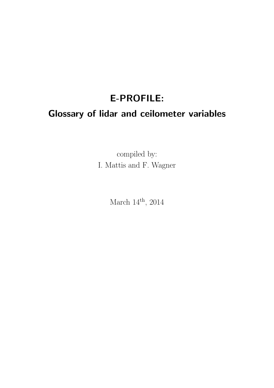# E-PROFILE: Glossary of lidar and ceilometer variables

compiled by: I. Mattis and F. Wagner

March  $14<sup>th</sup>$ , 2014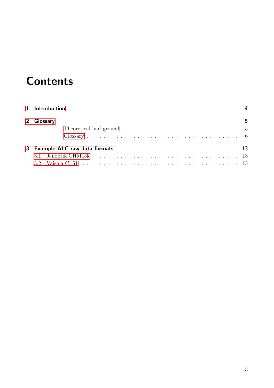# **Contents**

| 1 Introduction                                                                          |    |
|-----------------------------------------------------------------------------------------|----|
| 2 Glossary                                                                              | 5  |
| Theoretical background $\ldots \ldots \ldots \ldots \ldots \ldots \ldots \ldots \ldots$ |    |
|                                                                                         |    |
| 3 Example ALC raw data formats                                                          | 13 |
|                                                                                         |    |
|                                                                                         |    |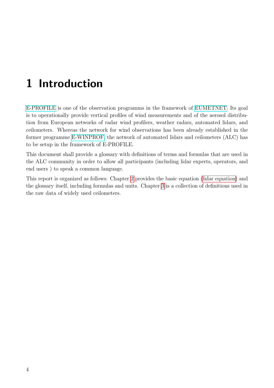# <span id="page-3-0"></span>1 Introduction

[E-PROFILE](http://www.eumetnet.eu/e-profile) is one of the observation programms in the framework of [EUMETNET.](http://www.eumetnet.eu) Its goal is to operationally provide vertical profiles of wind measurements and of the aerosol distribution from European networks of radar wind profilers, weather radars, automated lidars, and ceilometers. Whereas the network for wind observations has been already established in the former programme [E-WINPROF,](http://www.eucos.net/cln_030/nn_133388/EN/Home/networks/winprof/winprof__node.html?__nnn=true) the network of automated lidars and ceilometers (ALC) has to be setup in the framework of E-PROFILE.

This document shall provide a glossary with definitions of terms and formulas that are used in the ALC community in order to allow all participants (including lidar experts, operators, and end users ) to speak a common language.

This report is organized as follows: Chapter [2](#page-4-0) provides the basic equation [\(lidar equation\)](#page-4-2) and the glossary itself, including formulas and units. Chapter [3](#page-12-0) is a collection of definitions used in the raw data of widely used ceilometers.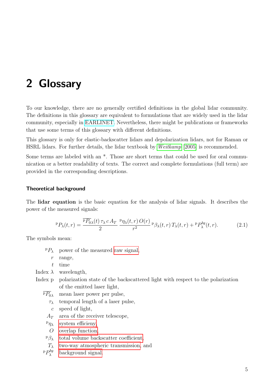<span id="page-4-0"></span>To our knowledge, there are no generally certified definitions in the global lidar community. The definitions in this glossary are equivalent to formulations that are widely used in the lidar community, especially in [EARLINET.](http://www.earlinet.org) Nevertheless, there might be publications or frameworks that use some terms of this glossary with different definitions.

This glossary is only for elastic-backscatter lidars and depolarization lidars, not for Raman or HSRL lidars. For further details, the lidar textbook by [Weitkamp](#page-16-0) [\[2005\]](#page-16-0) is recommended.

Some terms are labeled with an \*. Those are short terms that could be used for oral communication or a better readability of texts. The correct and complete formulations (full term) are provided in the corresponding descriptions.

#### <span id="page-4-1"></span>Theoretical background

The lidar equation is the basic equation for the analysis of lidar signals. It describes the power of the measured signals:

<span id="page-4-2"></span>
$$
{}^{p}P_{\lambda}(t,r) = \frac{\overline{{}^{p}P_{0\lambda}(t)\,\tau_{\lambda}\,c\,A_T}}{2} \frac{{}^{p}\eta_{\lambda}(t,r)\,O(r)}{r^2} \,{}^{p}\beta_{\lambda}(t,r)\,T_{\lambda}(t,r) + {}^{p}P_{\lambda}^{bg}(t,r). \tag{2.1}
$$

The symbols mean:

- $P_{\lambda}$  power of the measured [raw signal,](#page-10-0)
	- $r$  range,
	- t time

Index  $\lambda$  wavelength,

Index p polarization state of the backscattered light with respect to the polarization of the emitted laser light,

 $\overline{P_{0\lambda}}$  mean laser power per pulse,

- $\tau_{\lambda}$  temporal length of a laser pulse,
- $c$  speed of light,
- $A_T$  area of the receiver telescope,
- $P\eta_{\lambda}$ [system efficieny,](#page-11-0)
- O [overlap function,](#page-8-0)
- $P\beta_{\lambda}$  [total volume backscatter coefficient,](#page-11-1)
- $T_{\lambda}$  [two-way atmospheric transmission,](#page-5-1) and
- р $P_\lambda^{bg}$ λ [background signal.](#page-6-0)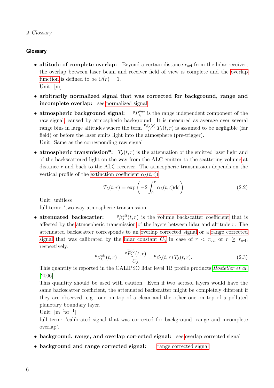#### <span id="page-5-0"></span>**Glossary**

- <span id="page-5-4"></span>• altitude of complete overlap: Beyond a certain distance  $r_{\text{ovl}}$  from the lidar receiver, the overlap between laser beam and receiver field of view is complete and the [overlap](#page-8-0) [function](#page-8-0) is defined to be  $O(r) = 1$ . Unit: [m]
- arbitrarily normalized signal that was corrected for background, range and incomplete overlap: see [normalized signal](#page-8-1)
- $\bullet$  atmospheric background signal: bga  $\lambda^{\log a}$  is the range independent component of the [raw signal,](#page-10-0) caused by atmospheric background. It is measured as average over several range bins in large altitudes where the term  $\frac{P\beta_{\lambda}(r)}{r^2}$  $\frac{f_{\lambda}(r)}{r^2}T_{\lambda}(t,r)$  is assumed to be negligible (far field) or before the laser emits light into the atmosphere (pre-trigger). Unit: Same as the corresponding raw signal
- atmospheric transmission\*:  $T_{\lambda}(t, r)$  is the attenuation of the emitted laser light and of the backscattered light on the way from the ALC emitter to the [scattering volume](#page-10-1) at distance r and back to the ALC receiver. The atmospheric transmission depends on the vertical profile of the [extinction coefficient](#page-11-2)  $\alpha_{\lambda}(t,\zeta)$ .

<span id="page-5-3"></span><span id="page-5-2"></span><span id="page-5-1"></span>
$$
T_{\lambda}(t,r) = \exp\left(-2\int_0^r \alpha_{\lambda}(t,\zeta)d\zeta\right)
$$
 (2.2)

Unit: unitless

full term: 'two-way atmospheric transmission'.

• attenuated backscatter:  $\lambda_{\lambda}^{att}(t,r)$  is the [volume backscatter coefficient](#page-11-1) that is affected by the [atmospheric transmission](#page-5-1) of the layers between lidar and altitude r. The attenuated backscatter corresponds to an [overlap corrected signal](#page-8-2) or a [range corrected](#page-10-2) [signal](#page-10-2) that was calibrated by the [lidar constant](#page-7-0)  $C_{\lambda}$  in case of  $r < r_{\text{ovl}}$  or  $r \ge r_{\text{ovl}}$ , respectively.

$$
{}^{\mathbf{p}}\beta_{\lambda}^{\mathrm{att}}(t,r) = \frac{\widetilde{P_{\lambda}^{\mathrm{occ}}}(t,r)}{C_{\lambda}} = {}^{\mathbf{p}}\beta_{\lambda}(t,r) T_{\lambda}(t,r). \tag{2.3}
$$

This quantity is reported in the CALIPSO lidar level 1B profile products *[Hostetler et al.](#page-16-1)* [\[2006\]](#page-16-1).

This quantity should be used with caution. Even if two aerosol layers would have the same backscatter coefficient, the attenuated backscatter might be completely different if they are observed, e.g., one on top of a clean and the other one on top of a polluted planetary boundary layer.

Unit:  $[m^{-1}sr^{-1}]$ 

full term: 'calibrated signal that was corrected for background, range and incomplete overlap'.

- background, range, and [overlap corrected signal](#page-8-2): see overlap corrected signal
- background and [range corrected signal](#page-10-2):  $=$  range corrected signal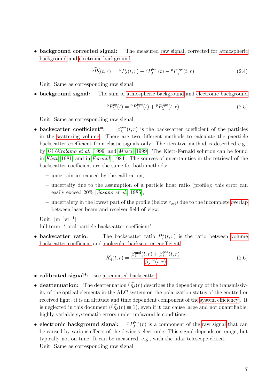• background corrected signal: The measured [raw signal,](#page-10-0) corrected for [atmospheric](#page-5-2) [background](#page-5-2) and [electronic background](#page-6-1)

<span id="page-6-3"></span>
$$
\widehat{P P_{\lambda}}(t,r) = P P_{\lambda}(t,r) - P P_{\lambda}^{bga}(t) - P P_{\lambda}^{bge}(t,r). \tag{2.4}
$$

Unit: Same as corresponding raw signal

• background signal: The sum of [atmospheric background](#page-5-2) and [electronic background](#page-6-1)

<span id="page-6-2"></span><span id="page-6-0"></span>
$$
{}^{p}P_{\lambda}^{bg}(t) = {}^{p}P_{\lambda}^{bga}(t) + {}^{p}P_{\lambda}^{bge}(t,r).
$$
\n(2.5)

Unit: Same as corresponding raw signal

- backscatter coefficient\*: par  $\lambda^{\text{par}}(t,r)$  is the backscatter coefficient of the particles in the [scattering volume.](#page-10-1) There are two different methods to calculate the paerticle backscatter coefficient from elastic signals only: The iterative method is described e.g., by [Di Girolamo et al.](#page-16-2) [\[1999\]](#page-16-2) and [Masci](#page-16-3) [\[1999\]](#page-16-3). The Klett-Fernald solution can be found in [Klett](#page-16-4) [\[1981\]](#page-16-4) and in [Fernald](#page-16-5) [\[1984\]](#page-16-5). The sources of uncertainties in the retrieval of the backscatter coefficient are the same for both methods:
	- uncertainties caused by the calibration,
	- uncertaity due to the assumption of a particle lidar ratio (profile); this error can easily exceed 20% [[Sasano et al.](#page-16-6), [1985\]](#page-16-6),
	- uncertainty in the lowest part of the profile (below  $r_{\text{ov}}$ ) due to the incomplete [overlap](#page-8-0) between laser beam and receiver field of view.

Unit:  $[m^{-1}sr^{-1}]$ 

full term: ['total](#page-10-3) particle backscatter coefficient'.

• backscatter ratio: The backscatter ratio  $R^{\lambda}_{\beta}(t,r)$  is the ratio between [volume](#page-11-1) [backscatter coefficient](#page-11-1) and [molecular backscatter coefficient](#page-7-1)

<span id="page-6-4"></span><span id="page-6-1"></span>
$$
R_{\beta}^{\lambda}(t,r) = \frac{\beta_{\lambda}^{\text{mol}}(t,r) + \beta_{\lambda}^{\text{par}}(t,r)}{\beta_{\lambda}^{\text{mol}}(t,r)}.
$$
\n(2.6)

- calibrated signal\*: see [attenuated backscatter](#page-5-3)
- deattenuation: The deattenuation  $\widetilde{p_{\gamma\lambda}}(r)$  describes the dependency of the transmissivity of the optical elements in the ALC system on the polarization status of the emitted or received light. it is an altitude and time dependent component of the [system efficiency](#page-11-0) . It is neglected in this document ( $\overline{pq}_{\lambda}(r) \equiv 1$ ), even if it can cause large and not quantifiable, highly variable systematic errors under unfavorable conditions.
- $\bullet$  electronic background signal:  $_{bge}$  $\lambda^{\textit{poge}}(r)$  is a component of the [raw signal](#page-10-0) that can be caused by various effects of the device's electronic. This signal depends on range, but typically not on time. It can be measured, e.g., with the lidar telescope closed. Unit: Same as corresponding raw signal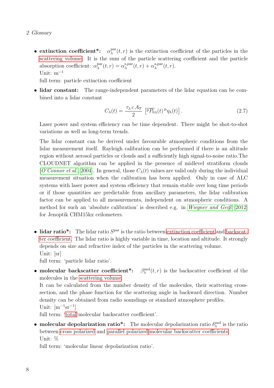• extinction coefficient\*:  $\alpha_{\lambda}^{\text{par}}$  $\lambda^{\text{par}}(t,r)$  is the extinction coefficient of the particles in the [scattering volume.](#page-10-1) It is the sum of the particle scattering coefficient and the particle absorption coefficient:  $\alpha_{\lambda}^{\text{par}}$  $_{\lambda}^{\text{par}}(t,r) = \alpha_{\lambda}^{\text{s,par}}$  $_{\lambda}^{\text{s,par}}(t,r) + \alpha_{\lambda}^{\text{a,par}}$  $_{\lambda}^{\text{a,par}}(t,r).$ Unit: m<sup>−</sup><sup>1</sup>

full term: particle extinction coefficient

• lidar constant: The range-independent parameters of the lidar equation can be combined into a lidar constant

<span id="page-7-2"></span><span id="page-7-0"></span>
$$
C_{\lambda}(t) = \frac{\tau_{\lambda} c A_T}{2} \left[ \overline{P P_0}_{\lambda}(t) \, P \eta_{\lambda}(t) \right]. \tag{2.7}
$$

Laser power and system efficiency can be time dependent. There might be shot-to-shot variations as well as long-term trends.

The lidar constant can be derived under favourable atmospheric conditions from the lidar measurement itself. Rayleigh calibration can be performed if there is an altitude region without aerosol particles or clouds and a sufficiently high signal-to-noise ratio.The CLOUDNET algorithm can be applied in the presence of midlevel stratiform clouds [[O'Connor et al.](#page-16-7), [2004\]](#page-16-7). In general, those  $C_{\lambda}(t)$  values are valid only during the individual measurement situation when the calibration has been applied. Only in case of ALC systems with laser power and system efficiency that remain stable over long time periods or if those quantities are predictable from ancillary parameters, the lidar calibration factor can be applied to all measurements, independent on atmospheric conditions. A method for such an 'absolute calibration' is described e.g. in [Wiegner and Geiß](#page-16-8) [\[2012\]](#page-16-8) for Jenoptik CHM15kx ceilometers.

<span id="page-7-4"></span> $\bullet$  lidar ratio\*: The lidar ratio  $S<sup>par</sup>$  is the ratio between [extinction coefficient](#page-7-2) and [backscat](#page-6-2)[ter coefficient.](#page-6-2) The lidar ratio is highly variable in time, location and altitude. It strongly depends on size and refractive index of the particles in the scattering volume. Unit: [sr]

<span id="page-7-1"></span>full term: 'particle lidar ratio'.

• molecular backscatter coefficient\*:  $\beta_{\lambda}^{\text{mol}}(t,r)$  is the backscatter coefficient of the molecules in the [scattering volume.](#page-10-1)

It can be calculated from the number density of the molecules, their scattering crosssection, and the phase function for the scattering angle in backward direction. Number density can be obtained from radio soundings or standard atmosphere profiles. Unit:  $[m^{-1}sr^{-1}]$ 

<span id="page-7-3"></span>full term: ['total](#page-10-3) molecular backscatter coefficient'.

• molecular depolarization ratio<sup>\*</sup>: The molecular depolarization ratio  $\delta_\lambda^{\text{mol}}$  is the ratio between [cross polarized](#page-9-0) and [parallel polarized](#page-9-1) [molecular backscatter coefficients.](#page-7-1) Unit: %

full term: 'molecular linear depolarization ratio'.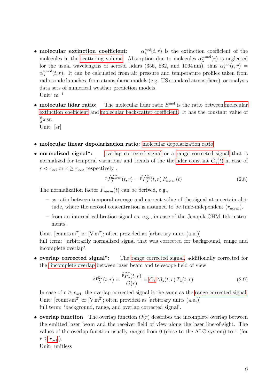- <span id="page-8-3"></span>• molecular extinction coefficient:  $_{\lambda}^{\text{mol}}(t,r)$  is the extinction coefficient of the molecules in the [scattering volume.](#page-10-1) Absorption due to molecules  $\alpha_{\lambda}^{\text{a,mol}}$  $\lambda^{\text{a,mol}}(r)$  is neglected for the usual wavelengths of aerosol lidars (355, 532, and 1064 nm), thus  $\alpha_{\lambda}^{\text{mol}}(t,r)$  =  $\alpha_{\lambda}^{\rm s, mol}$  $_{\lambda}^{\text{small}}(t,r)$ . It can be calculated from air pressure and temperature profiles taken from radiosonde launches, from atmospheric models (e.g. US standard atmosphere), or analysis data sets of numerical weather prediction models. Unit: m<sup>−</sup><sup>1</sup>
- $\bullet\,$  molecular lidar ratio: The [molecular](#page-8-3) lidar ratio  $S^{\text{mol}}$  is the ratio between molecular [extinction coefficient](#page-8-3) and [molecular backscatter coefficient.](#page-7-1) It has the constant value of 8  $\frac{8}{3}\pi$  sr. Unit: [sr]
- molecular linear depolarization ratio: [molecular depolarization ratio](#page-7-3)
- normalized signal<sup>\*</sup>: [overlap corrected signal](#page-8-2) or a [range corrected signal](#page-10-2) that is normalized for temporal variations and trends of the the [lidar constant](#page-7-0)  $C_{\lambda}(t)$  in case of  $r < r_{\text{ovl}}$  or  $r \geq r_{\text{ovl}}$ , respectively.

<span id="page-8-1"></span>
$$
\widehat{P_{\lambda}^{norm}}(t,r) = \widehat{P_{\lambda}^{loc}}(t,r) \, F_{norm}(t) \tag{2.8}
$$

The normalization factor  $F_{norm}(t)$  can be derived, e.g.,

- as ratio between temporal average and current value of the signal at a certain altitude, where the aerosol concentration is assumed to be time-independent  $(r_{norm})$ .
- from an internal calibration signal as, e.g., in case of the Jenopik CHM 15k instruments.

Unit:  $[counts m<sup>2</sup>] or [V m<sup>2</sup>]; often provided as [arbitrary units (a.u.)]$ 

full term: 'arbitrarily normalized signal that was corrected for background, range and incomplete overlap'.

• overlap corrected signal\*: The [range corrected signal,](#page-10-2) additionally corrected for the [incomplete overlap](#page-8-0) between laser beam and telescope field of view

<span id="page-8-2"></span><span id="page-8-0"></span>
$$
\widetilde{P_{\lambda}^{p\alpha}}(t,r) = \frac{\widetilde{P_{\lambda}}(t,r)}{O(r)} = C_{\lambda} P_{\lambda}(t,r) T_{\lambda}(t,r). \qquad (2.9)
$$

In case of  $r \geq r_{\text{ovl}}$ , the overlap corrected signal is the same as the [range corrected signal.](#page-10-2) Unit:  $[counts m<sup>2</sup>] or [V m<sup>2</sup>]; often provided as [arbitrary units (a.u.)]$ full term: 'background, range, and overlap corrected signal'.

• overlap function The overlap function  $O(r)$  describes the incomplete overlap between the emitted laser beam and the receiver field of view along the laser line-of-sight. The values of the overlap function usually ranges from 0 (close to the ALC system) to 1 (for  $r \geq r_{\text{ov}}$ ).

Unit: unitless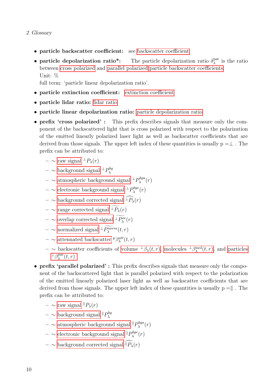- 2 Glossary
	- particle [backscatter coefficient](#page-6-2): see backscatter coefficient
	- particle depolarization ratio<sup>\*</sup>: The particle depolarization ratio  $\delta_\lambda^{\text{par}}$  $\lambda^{\text{par}}$  is the ratio between [cross polarized](#page-9-0) and [parallel polarized](#page-9-1) [particle backscatter coefficients.](#page-6-2) Unit: %

<span id="page-9-2"></span>full term: 'particle linear depolarization ratio'.

- particle [extinction coefficient](#page-7-2): extinction coefficient
- particle lidar ratio: [lidar ratio](#page-7-4)
- particle linear depolarization ratio: [particle depolarization ratio](#page-9-2)
- <span id="page-9-0"></span>• prefix 'cross polarized' : This prefix describes signals that measure only the component of the backscattered light that is cross polarized with respect to the polarization of the emitted linearly polarized laser light as well as backscatter coefficients that are derived from those signals. The upper left index of these quantities is usually  $p = \perp$ . The prefix can be attributed to:
	- $-$  ∼ [raw signal](#page-10-0)  $^{\perp}P_{\lambda}(r)$
	- $-$  ∼ [background signal](#page-6-0)  $\pm P_{\lambda}^{bg}$ λ
	- $-$  ∼ [atmospheric background signal](#page-5-2)  $\pm P_{\lambda}^{bga}$  $\lambda^{bga}(r)$
	- $-$  ∼ [electronic background signal](#page-6-1)  ${}^{\perp}P_{\lambda}^{bge}$  $\lambda^{0ge}(r)$
	- ∼ [background corrected signal](#page-6-3)  $\widehat{+P_\lambda}(r)$
	- ∼ [range corrected signal](#page-10-2)  $\widetilde{P_\lambda}(r)$
	- $-$  ∼ [overlap corrected signal](#page-8-2)  $\pm P_{\lambda}^{oc}(r)$
	- $-$  ∼ [normalized signal](#page-8-1)  $\pm P_{\lambda}^{norm}(t,r)$
	- $-$  ∼ [attenuated backscatter](#page-5-3) <sup>p</sup> $β_{λ}^{att}(t, r)$
	- $-$  ∼ backscatter coefficients of [volume](#page-11-1)  $\pm \beta_{\lambda}(t,r)$ , [molecules](#page-7-1)  $\pm \beta_{\lambda}^{mol}(t,r)$ , and [particles](#page-6-2)  $^{\perp}\beta_{\lambda}^{\text{par}}$  $_{\lambda}^{\mathrm{par}}(t,r)$
- <span id="page-9-1"></span>• prefix 'parallel polarized' : This prefix describes signals that measure only the component of the backscattered light that is parallel polarized with respect to the polarization of the emitted linearly polarized laser light as well as backscatter coefficients that are derived from those signals. The upper left index of these quantities is usually  $p = k$ . The prefix can be attributed to:
	- $-$  ∼ [raw signal](#page-10-0)  $P_\lambda(r)$
	- $-$  ∼ [background signal](#page-6-0)  $\mathbb{P}_{\lambda}^{bg}$ λ
	- $-$  ∼ [atmospheric background signal](#page-5-2)  $\mathbb{P}_{\lambda}^{bga}$  $\lambda^{bga}(r)$
	- $-$  ∼ [electronic background signal](#page-6-1)  $\mathbb{P}^{bge}_{\lambda}$  $\lambda^{bge}(r)$
	- ∼ [background corrected signal](#page-6-3)  $\widehat{P_\lambda}(r)$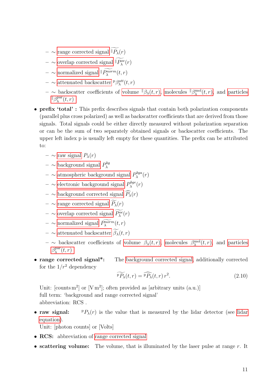- ∼ [range corrected signal](#page-10-2)  $\mathbb{F}_\lambda(r)$
- $-$  ∼ [overlap corrected signal](#page-8-2)  $P_{\lambda}^{oc}(r)$
- $-$  ∼ [normalized signal](#page-8-1)  $\mathbb{P}_{\lambda}^{norm}(t,r)$
- $-$  ∼ [attenuated backscatter](#page-5-3) <sup>p</sup> $β_{λ}^{att}(t, r)$
- <span id="page-10-3"></span> $-$  ∼ backscatter coefficients of [volume](#page-11-1)  $\|\beta_{\lambda}(t,r),\$  [molecules](#page-7-1)  $\|\beta_{\lambda}^{\text{mol}}(t,r),\$  and [particles](#page-6-2)  $\parallel \beta_{\lambda}^{\text{par}}$  $\lambda^{\text{par}}(t,r)$
- prefix 'total' : This prefix describes signals that contain both polarization components (parallel plus cross polarized) as well as backscatter coefficients that are derived from those signals. Total signals could be either directly measured without polarization separation or can be the sum of two separately obtained signals or backscatter coefficients. The upper left index p is usually left empty for these quantities. The prefix can be attributed to:
	- ∼ [raw signal](#page-10-0) Pλ(r)
	- ∼ [background signal](#page-6-0)  $P_{\lambda}^{bg}$ λ
	- $-$  ∼ [atmospheric background signal](#page-5-2)  $P_{\lambda}^{bga}$  $\lambda^{bga}(r)$
	- $-$  ∼ [electronic background signal](#page-6-1)  $P_{\lambda}^{bge}$  $\lambda^{0ge}(r)$
	- ∼ [background corrected signal](#page-6-3)  $\widehat{P_{\lambda}}(r)$
	- ∼ [range corrected signal](#page-10-2)  $\widetilde{P_{\lambda}}(r)$
	- $-$  ∼ [overlap corrected signal](#page-8-2)  $P_{\lambda}^{oc}(r)$
	- $-$  ~ [normalized signal](#page-8-1)  $P_{\lambda}^{norm}(t,r)$
	- ∼ [attenuated backscatter](#page-5-3)  $\widetilde{\beta_{\lambda}}(t,r)$
	- $-$  ∼ backscatter coefficients of [volume](#page-11-1)  $β_λ(t,r)$ , [molecules](#page-7-1)  $β_λ^{\text{mol}}(t,r)$ , and [particles](#page-6-2)  $\beta_{\lambda}^{\text{par}}$  $\lambda^{\text{par}}(t,r)$
- range corrected signal<sup>\*</sup>: The [background corrected signal,](#page-6-3) additionally corrected for the  $1/r^2$  dependency

<span id="page-10-2"></span>
$$
\widetilde{P P_{\lambda}}(t,r) = \widehat{P P_{\lambda}}(t,r) r^2.
$$
\n(2.10)

Unit:  $[counts m<sup>2</sup>] or [V m<sup>2</sup>]; often provided as [arbitrary units (a.u.)]$ full term: 'background and range corrected signal' abbreviation: RCS .

• raw signal:  $P P_{\lambda}(r)$  is the value that is measured by the [lidar](#page-4-2) detector (see lidar [equation\)](#page-4-2).

<span id="page-10-1"></span><span id="page-10-0"></span>Unit: [photon counts] or [Volts]

- RCS: abbreviation of [range corrected signal](#page-10-2)
- scattering volume: The volume, that is illuminated by the laser pulse at range  $r$ . It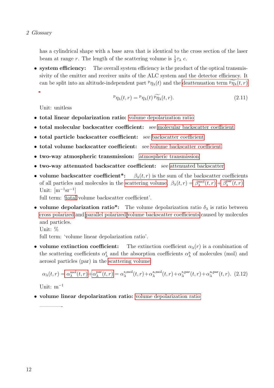has a cylindrical shape with a base area that is identical to the cross section of the laser beam at range r. The length of the scattering volume is  $\frac{1}{2}\tau_{\lambda}$  c.

• system efficiency: The overall system efficiency is the product of the optical transmissivity of the emitter and receiver units of the ALC system and the detector efficiency. It can be split into an altitude-independent part  $P\eta_\lambda(t)$  and the [deattenuation term](#page-6-4)  $\widetilde{P\eta_\lambda}(t,r)$ 

<span id="page-11-1"></span><span id="page-11-0"></span>
$$
{}^{p}\eta_{\lambda}(t,r) = {}^{p}\eta_{\lambda}(t) \widetilde{P\eta_{\lambda}}(t,r). \qquad (2.11)
$$

Unit: unitless

- total linear depolarization ratio: [volume depolarization ratio](#page-11-3)
- total molecular backscatter coefficient: see [molecular backscatter coefficient](#page-7-1)
- total particle [backscatter coefficient](#page-6-2): see backscatter coefficient
- total [volume backscatter coefficient](#page-11-1): see volume backscatter coefficient
- two-way atmospheric transmission: [atmospheric transmission](#page-5-1)
- two-way attenuated backscatter coefficient: see [attenuated backscatter](#page-5-3)
- volume backscatter coefficient\*:  $\beta_{\lambda}(t, r)$  is the sum of the backscatter coefficients of all particles and molecules in the [scattering volume.](#page-10-1)  $\beta_{\lambda}(t,r) = \beta_{\lambda}^{\text{mol}}(t,r) + \beta_{\lambda}^{\text{par}}$  $\lambda^{\text{par}}(t,r)$ Unit:  $[m^{-1}sr^{-1}]$

<span id="page-11-3"></span>full term: ['total](#page-10-3) volume backscatter coefficient'.

- volume depolarization ratio<sup>\*</sup>: The volume depolarization ratio  $\delta_{\lambda}$  is ratio between [cross polarized](#page-9-0) and [parallel polarized](#page-9-1) [volume backscatter coefficients](#page-11-1) caused by molecules and particles.
	- Unit: %

<span id="page-11-2"></span>full term: 'volume linear depolarization ratio'.

• volume extinction coefficient: The extinction coefficient  $\alpha_{\lambda}(r)$  is a combination of the scattering coefficients  $\alpha_{\lambda}^{s}$  and the absorption coefficients  $\alpha_{\lambda}^{a}$  of molecules (mol) and aerosol particles (par) in the [scattering volume:](#page-10-1)

$$
\alpha_{\lambda}(t,r) = \alpha_{\lambda}^{\text{mol}}(t,r) + \alpha_{\lambda}^{\text{par}}(t,r) = \alpha_{\lambda}^{\text{s,mol}}(t,r) + \alpha_{\lambda}^{\text{a,mol}}(t,r) + \alpha_{\lambda}^{\text{s,par}}(t,r) + \alpha_{\lambda}^{\text{a,par}}(t,r). \tag{2.12}
$$

Unit:  $m^{-1}$ 

————-

• volume linear depolarization ratio: [volume depolarization ratio](#page-11-3)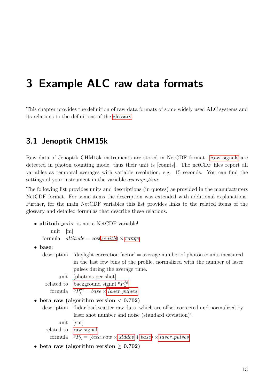## <span id="page-12-0"></span>3 Example ALC raw data formats

This chapter provides the definition of raw data formats of some widely used ALC systems and its relations to the definitions of the [glossary.](#page-4-0)

### <span id="page-12-1"></span>3.1 Jenoptik CHM15k

Raw data of Jenoptik CHM15k instruments are stored in NetCDF format. [Raw signals](#page-10-0) are detected in photon counting mode, thus their unit is [counts]. The netCDF files report all variables as temporal averages with variable resolution, e.g. 15 seconds. You can find the settings of your instrument in the variable *average\_time*.

The following list provides units and descriptions (in quotes) as provided in the manufacturers NetCDF format. For some items the description was extended with additional explanations. Further, for the main NetCDF variables this list provides links to the related items of the glossary and detailed formulas that describe these relations.

- altitude axis: is not a NetCDF variable! unit [m] formula  $\textit{altitude} = \cos(\textit{zenith}) \times \textit{range}$  $\textit{altitude} = \cos(\textit{zenith}) \times \textit{range}$  $\textit{altitude} = \cos(\textit{zenith}) \times \textit{range}$  $\textit{altitude} = \cos(\textit{zenith}) \times \textit{range}$  $\textit{altitude} = \cos(\textit{zenith}) \times \textit{range}$
- base:

<span id="page-12-2"></span>description 'daylight correction factor' = average number of photon counts measured in the last few bins of the profile, normalized with the number of laser pulses during the average time.

- unit [photons per shot]
- related to [background signal](#page-6-0)  ${}^{\text{p}}P_{\lambda}^{bg}$ λ formula  $P_{\lambda}^{bg} = base \times laser\_pulses$  $P_{\lambda}^{bg} = base \times laser\_pulses$
- beta\_raw (algorithm version  $< 0.702$ )

description 'lidar backscatter raw data, which are offset corrected and normalized by laser shot number and noise (standard deviation)'. unit [snr]

- related to [raw signal](#page-10-0)
	- formula  $P_{\lambda} = (beta_{x} x \times stddev + base) \times laser_{pulses}$  $P_{\lambda} = (beta_{x} x \times stddev + base) \times laser_{pulses}$  $P_{\lambda} = (beta_{x} x \times stddev + base) \times laser_{pulses}$  $P_{\lambda} = (beta_{x} x \times stddev + base) \times laser_{pulses}$  $P_{\lambda} = (beta_{x} x \times stddev + base) \times laser_{pulses}$  $P_{\lambda} = (beta_{x} x \times stddev + base) \times laser_{pulses}$  $P_{\lambda} = (beta_{x} x \times stddev + base) \times laser_{pulses}$
- beta\_raw (algorithm version  $\geq 0.702$ )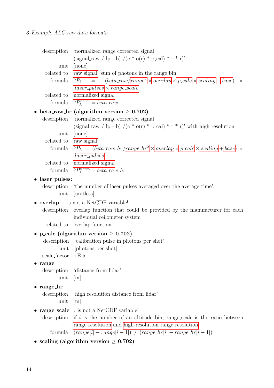#### 3 Example ALC raw data formats

<span id="page-13-6"></span><span id="page-13-5"></span><span id="page-13-4"></span><span id="page-13-3"></span><span id="page-13-2"></span><span id="page-13-1"></span><span id="page-13-0"></span>

|                       | description 'normalized range corrected signal                                                                                                 |
|-----------------------|------------------------------------------------------------------------------------------------------------------------------------------------|
|                       | $(\text{signal} \cdot \text{raw} / \text{lp} - \text{b}) / (\text{c} * \text{o}(\text{r}) * \text{p} \cdot \text{cal}) * \text{r} * \text{r})$ |
| unit<br>related to    | [none]<br>raw signal [sum of photons in the range bin]                                                                                         |
| formula               | $P_{\lambda}$ = (beta_raw/range <sup>2</sup> × overlap × p_calc × scaling + base)<br>$\times$                                                  |
|                       | $laser\_pulses \times range\_scale$                                                                                                            |
| related to            | normalized signal                                                                                                                              |
|                       | formula $P_{\lambda}^{norm} = beta_{x}aw$                                                                                                      |
|                       | • beta_raw_hr (algorithm version $\geq 0.702$ )                                                                                                |
|                       | description 'normalized range corrected signal                                                                                                 |
|                       | (signal_raw / lp - b) /(c * o(r) * p_cal) * r * r)' with high resolution                                                                       |
| unit                  | [none]                                                                                                                                         |
| related to raw signal | formula ${}^{p}P_{\lambda} = (beta\_raw\_hr/range\_hr^{2} \times overlap \times p\_calc \times scaling + base) \times$                         |
|                       | <i>laser_pulses</i>                                                                                                                            |
|                       | related to normalized signal                                                                                                                   |
|                       | formula $P_{\lambda}^{norm} = beta_{x}aw_{x}$                                                                                                  |
| • laser_pulses:       |                                                                                                                                                |
|                       | description 'the number of laser pulses averaged over the average_time'.                                                                       |
| unit                  | [unitless]                                                                                                                                     |
|                       | • overlap: is not a NetCDF variable!                                                                                                           |
| description           | overlap function that could be provided by the manufacturer for each                                                                           |
|                       | individual ceilometer system                                                                                                                   |
|                       | related to overlap function                                                                                                                    |
|                       | • p_calc (algorithm version $\geq 0.702$ )<br>description 'calibration pulse in photons per shot'                                              |
|                       | unit [photons per shot]                                                                                                                        |
| scale_factor          | $1E-5$                                                                                                                                         |
| $\bullet$ range       |                                                                                                                                                |
| description           | distance from lidar'                                                                                                                           |
| unit                  | m                                                                                                                                              |
| $\bullet$ range_hr    |                                                                                                                                                |
| description           | 'high resolution distance from lidar'                                                                                                          |
| unit                  | m                                                                                                                                              |
|                       | • range_scale : is not a NetCDF variable!                                                                                                      |
| description           | if $i$ is the number of an altitude bin, range scale is the ratio between<br>range resolution and high-resolution range resolution             |
| formula               | $(range[i] - range[i-1]) / (range_hr[i] - range_hr[i-1])$                                                                                      |
|                       | • scaling (algorithm version $\geq 0.702$ )                                                                                                    |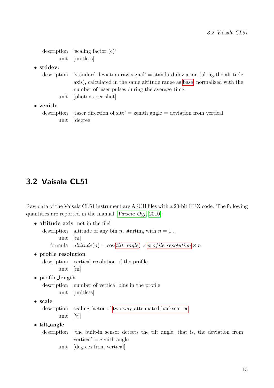```
description 'scaling factor (c)'
          unit [unitless]
• stddev:
```

```
\alpha description 'standard deviation raw signal' = standard deviation (along the altitude
             axis), calculated in the same altitude range as base, normalized with the
             number of laser pulses during the average time.
       unit [photons per shot]
```
• zenith:

<span id="page-14-1"></span>description 'laser direction of site'  $=$  zenith angle  $=$  deviation from vertical unit [degree]

### <span id="page-14-0"></span>3.2 Vaisala CL51

Raw data of the Vaisala CL51 instrument are ASCII files with a 20-bit HEX code. The following quantities are reported in the manual [[Vaisala Oyj](#page-16-9), [2010\]](#page-16-9):

• altitude\_axis: not in the file!

```
description altitude of any bin n, starting with n = 1.
      unit [m]
```

```
formula angleresolution \times n
```
• profile\_resolution

description vertical resolution of the profile unit [m]

• profile\_length

description number of vertical bins in the profile unit [unitless]

• scale

<span id="page-14-5"></span><span id="page-14-3"></span>description scaling factor of two-way attenuated [backscatter](#page-15-0) unit [%]

- tilt angle
	- description 'the built-in sensor detects the tilt angle, that is, the deviation from  $vertical' = zenith angle$ 
		- unit [degrees from vertical]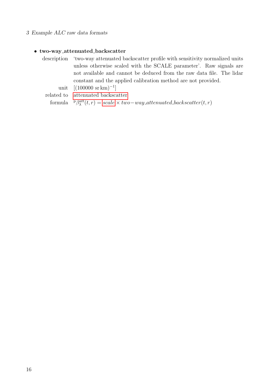#### 3 Example ALC raw data formats

#### • two-way attenuated backscatter

description 'two-way attenuated backscatter profile with sensitivity normalized units unless otherwise scaled with the SCALE parameter'. Raw signals are not available and cannot be deduced from the raw data file. The lidar constant and the applied calibration method are not provided.

<span id="page-15-0"></span>unit  $[(100000 \text{ sr km})^{-1}]$ 

related to [attenuated backscatter](#page-5-3)

formula  $P_{\lambda}^{att}(t,r) = scale \times two-way\_attenuated\_background(t,r)$  $P_{\lambda}^{att}(t,r) = scale \times two-way\_attenuated\_background(t,r)$  $P_{\lambda}^{att}(t,r) = scale \times two-way\_attenuated\_background(t,r)$